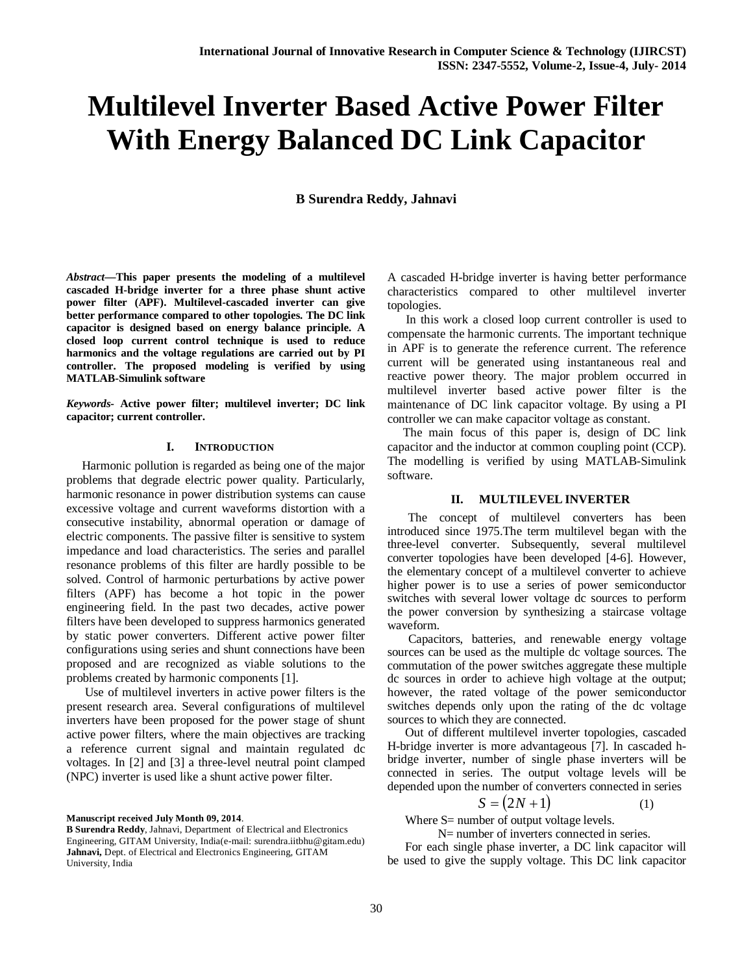# **Multilevel Inverter Based Active Power Filter With Energy Balanced DC Link Capacitor**

**B Surendra Reddy, Jahnavi**

*Abstract***—This paper presents the modeling of a multilevel cascaded H-bridge inverter for a three phase shunt active power filter (APF). Multilevel-cascaded inverter can give better performance compared to other topologies. The DC link capacitor is designed based on energy balance principle. A closed loop current control technique is used to reduce harmonics and the voltage regulations are carried out by PI controller. The proposed modeling is verified by using MATLAB-Simulink software**

*Keywords-* **Active power filter; multilevel inverter; DC link capacitor; current controller.**

#### **I. INTRODUCTION**

 Harmonic pollution is regarded as being one of the major problems that degrade electric power quality. Particularly, harmonic resonance in power distribution systems can cause excessive voltage and current waveforms distortion with a consecutive instability, abnormal operation or damage of electric components. The passive filter is sensitive to system impedance and load characteristics. The series and parallel resonance problems of this filter are hardly possible to be solved. Control of harmonic perturbations by active power filters (APF) has become a hot topic in the power engineering field. In the past two decades, active power filters have been developed to suppress harmonics generated by static power converters. Different active power filter configurations using series and shunt connections have been proposed and are recognized as viable solutions to the problems created by harmonic components [1].

 Use of multilevel inverters in active power filters is the present research area. Several configurations of multilevel inverters have been proposed for the power stage of shunt active power filters, where the main objectives are tracking a reference current signal and maintain regulated dc voltages. In [2] and [3] a three-level neutral point clamped (NPC) inverter is used like a shunt active power filter.

#### **Manuscript received July Month 09, 2014**.

**B Surendra Reddy**, Jahnavi, Department of Electrical and Electronics Engineering, GITAM University, India(e-mail: surendra.iitbhu@gitam.edu) **Jahnavi,** Dept. of Electrical and Electronics Engineering, GITAM University, India

A cascaded H-bridge inverter is having better performance characteristics compared to other multilevel inverter topologies.

 In this work a closed loop current controller is used to compensate the harmonic currents. The important technique in APF is to generate the reference current. The reference current will be generated using instantaneous real and reactive power theory. The major problem occurred in multilevel inverter based active power filter is the maintenance of DC link capacitor voltage. By using a PI controller we can make capacitor voltage as constant.

 The main focus of this paper is, design of DC link capacitor and the inductor at common coupling point (CCP). The modelling is verified by using MATLAB-Simulink software.

#### **II. MULTILEVEL INVERTER**

The concept of multilevel converters has been introduced since 1975.The term multilevel began with the three-level converter. Subsequently, several multilevel converter topologies have been developed [4-6]. However, the elementary concept of a multilevel converter to achieve higher power is to use a series of power semiconductor switches with several lower voltage dc sources to perform the power conversion by synthesizing a staircase voltage waveform.

Capacitors, batteries, and renewable energy voltage sources can be used as the multiple dc voltage sources. The commutation of the power switches aggregate these multiple dc sources in order to achieve high voltage at the output; however, the rated voltage of the power semiconductor switches depends only upon the rating of the dc voltage sources to which they are connected.

Out of different multilevel inverter topologies, cascaded H-bridge inverter is more advantageous [7]. In cascaded hbridge inverter, number of single phase inverters will be connected in series. The output voltage levels will be depended upon the number of converters connected in series

$$
S = (2N + 1) \tag{1}
$$

Where S = number of output voltage levels.

N= number of inverters connected in series.

For each single phase inverter, a DC link capacitor will be used to give the supply voltage. This DC link capacitor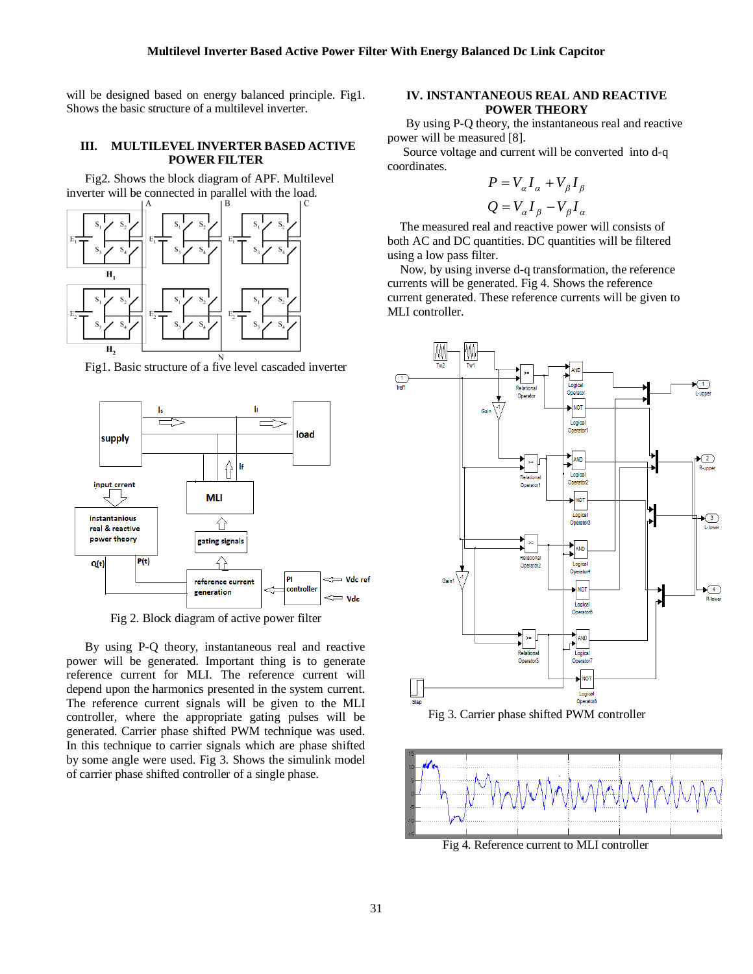will be designed based on energy balanced principle. Fig1. Shows the basic structure of a multilevel inverter.

#### **III. MULTILEVEL INVERTER BASED ACTIVE POWER FILTER**

 Fig2. Shows the block diagram of APF. Multilevel inverter will be connected in parallel with the load.



Fig1. Basic structure of a five level cascaded inverter



Fig 2. Block diagram of active power filter

 By using P-Q theory, instantaneous real and reactive power will be generated. Important thing is to generate reference current for MLI. The reference current will depend upon the harmonics presented in the system current. The reference current signals will be given to the MLI controller, where the appropriate gating pulses will be generated. Carrier phase shifted PWM technique was used. In this technique to carrier signals which are phase shifted by some angle were used. Fig 3. Shows the simulink model of carrier phase shifted controller of a single phase.

# **IV. INSTANTANEOUS REAL AND REACTIVE POWER THEORY**

 By using P-Q theory, the instantaneous real and reactive power will be measured [8].

 Source voltage and current will be converted into d-q coordinates.

$$
P = V_{\alpha} I_{\alpha} + V_{\beta} I_{\beta}
$$
  

$$
Q = V_{\alpha} I_{\beta} - V_{\beta} I_{\alpha}
$$

 The measured real and reactive power will consists of both AC and DC quantities. DC quantities will be filtered using a low pass filter.

 Now, by using inverse d-q transformation, the reference currents will be generated. Fig 4. Shows the reference current generated. These reference currents will be given to MLI controller.



Fig 3. Carrier phase shifted PWM controller



Fig 4. Reference current to MLI controller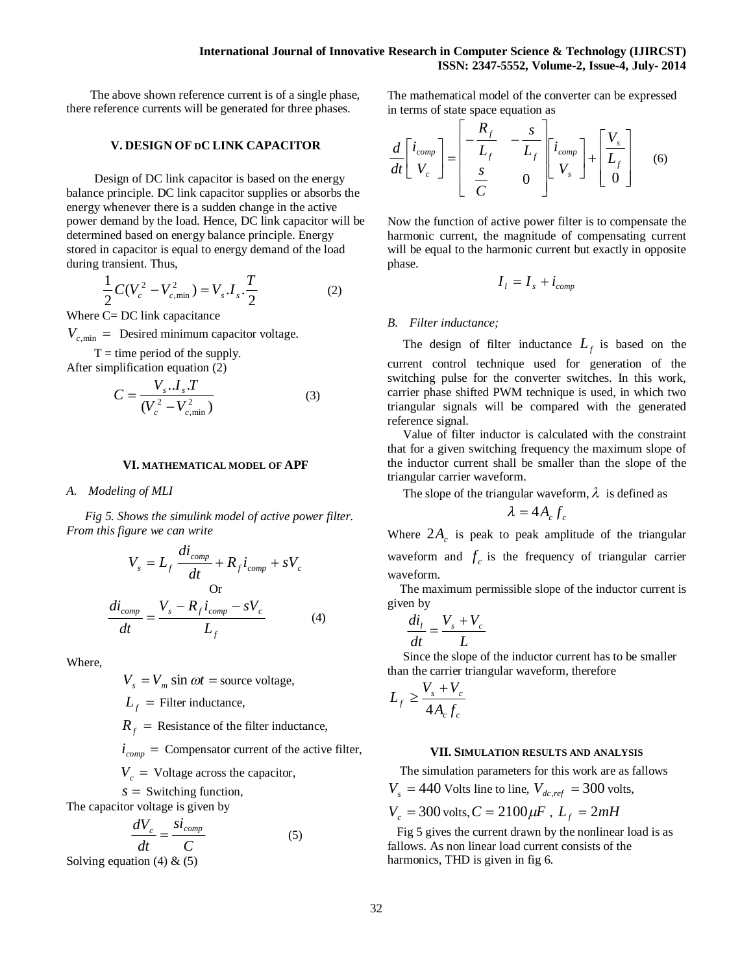The above shown reference current is of a single phase, there reference currents will be generated for three phases.

## **V. DESIGN OF DC LINK CAPACITOR**

 Design of DC link capacitor is based on the energy balance principle. DC link capacitor supplies or absorbs the energy whenever there is a sudden change in the active power demand by the load. Hence, DC link capacitor will be determined based on energy balance principle. Energy stored in capacitor is equal to energy demand of the load during transient. Thus,

$$
\frac{1}{2}C(V_c^2 - V_{c,\min}^2) = V_s . I_s . \frac{T}{2}
$$
 (2)

Where C= DC link capacitance

 $V_{c,min}$  = Desired minimum capacitor voltage.

 $T =$  time period of the supply. After simplification equation (2)

$$
C = \frac{V_s . I_s . T}{(V_c^2 - V_{c,\text{min}}^2)}
$$
(3)

#### **VI. MATHEMATICAL MODEL OF APF**

#### *A. Modeling of MLI*

 *Fig 5. Shows the simulink model of active power filter. From this figure we can write* 

$$
V_s = L_f \frac{di_{comp}}{dt} + R_f i_{comp} + sV_c
$$
  
Or  

$$
\frac{di_{comp}}{dt} = \frac{V_s - R_f i_{comp} - sV_c}{L_f}
$$
(4)

Where,

 $V_s = V_m \sin \omega t =$  source voltage,

 $L_f$  = Filter inductance,

 $R_f$  = Resistance of the filter inductance,

 $i_{comp}$  = Compensator current of the active filter,

 $V_c$  = Voltage across the capacitor,

 $s =$  Switching function,

The capacitor voltage is given by

$$
\frac{dV_c}{dt} = \frac{si_{comp}}{C}
$$
 (5)

Solving equation (4)  $\&$  (5)

The mathematical model of the converter can be expressed in terms of state space equation as

$$
\frac{d}{dt} \begin{bmatrix} i_{comp} \\ V_c \end{bmatrix} = \begin{bmatrix} -\frac{R_f}{L_f} & -\frac{s}{L_f} \\ \frac{s}{C} & 0 \end{bmatrix} \begin{bmatrix} i_{comp} \\ V_s \end{bmatrix} + \begin{bmatrix} \frac{V_s}{L_f} \\ 0 \end{bmatrix}
$$
(6)

Now the function of active power filter is to compensate the harmonic current, the magnitude of compensating current will be equal to the harmonic current but exactly in opposite phase.

$$
I_{l} = I_{s} + i_{comp}
$$

#### *B. Filter inductance;*

The design of filter inductance  $L_f$  is based on the current control technique used for generation of the switching pulse for the converter switches. In this work, carrier phase shifted PWM technique is used, in which two triangular signals will be compared with the generated reference signal.

 Value of filter inductor is calculated with the constraint that for a given switching frequency the maximum slope of the inductor current shall be smaller than the slope of the triangular carrier waveform.

The slope of the triangular waveform,  $\lambda$  is defined as

$$
\lambda = 4A_c f_c
$$

Where  $2A_c$  is peak to peak amplitude of the triangular waveform and  $f_c$  is the frequency of triangular carrier waveform.

 The maximum permissible slope of the inductor current is given by

$$
\frac{di_l}{dt} = \frac{V_s + V_c}{L}
$$

 Since the slope of the inductor current has to be smaller than the carrier triangular waveform, therefore

$$
L_f \ge \frac{V_s + V_c}{4A_c f_c}
$$

#### **VII. SIMULATION RESULTS AND ANALYSIS**

The simulation parameters for this work are as fallows

 $V_s = 440$  Volts line to line,  $V_{dc,ref} = 300$  volts,

 $V_c = 300$  volts,  $C = 2100 \mu F$  ,  $L_f = 2mH$ 

 Fig 5 gives the current drawn by the nonlinear load is as fallows. As non linear load current consists of the harmonics, THD is given in fig 6.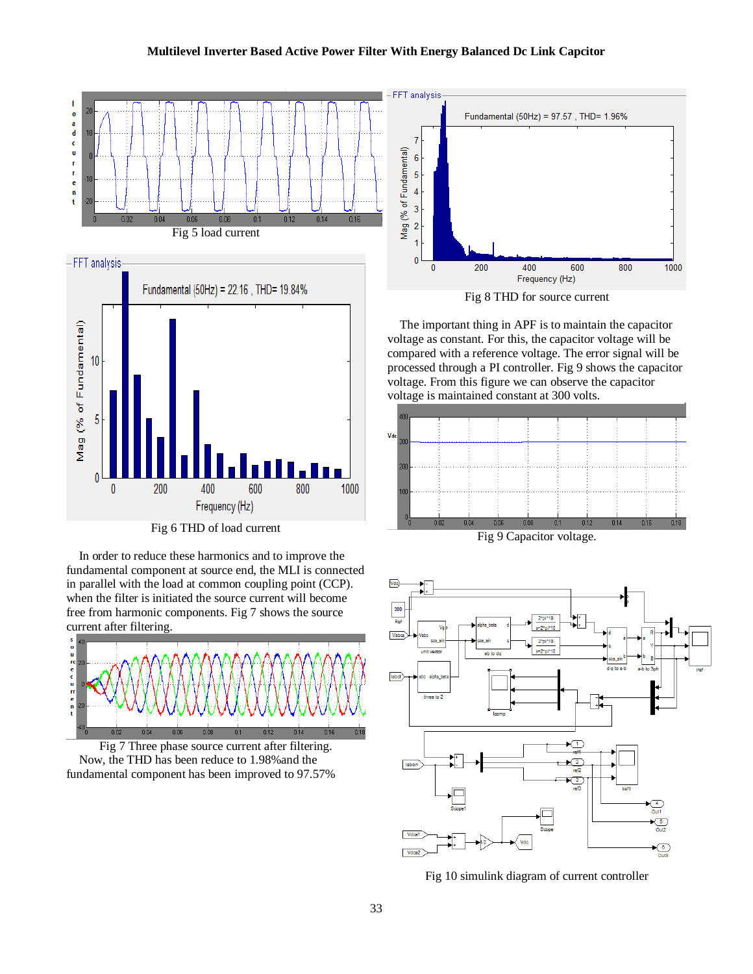

Fig 6 THD of load current

 In order to reduce these harmonics and to improve the fundamental component at source end, the MLI is connected in parallel with the load at common coupling point (CCP). when the filter is initiated the source current will become free from harmonic components. Fig 7 shows the source current after filtering.



Fig 7 Three phase source current after filtering. Now, the THD has been reduce to 1.98%and the fundamental component has been improved to 97.57%



Fig 8 THD for source current

 The important thing in APF is to maintain the capacitor voltage as constant. For this, the capacitor voltage will be compared with a reference voltage. The error signal will be processed through a PI controller. Fig 9 shows the capacitor voltage. From this figure we can observe the capacitor voltage is maintained constant at 300 volts.



Fig 9 Capacitor voltage.



Fig 10 simulink diagram of current controller